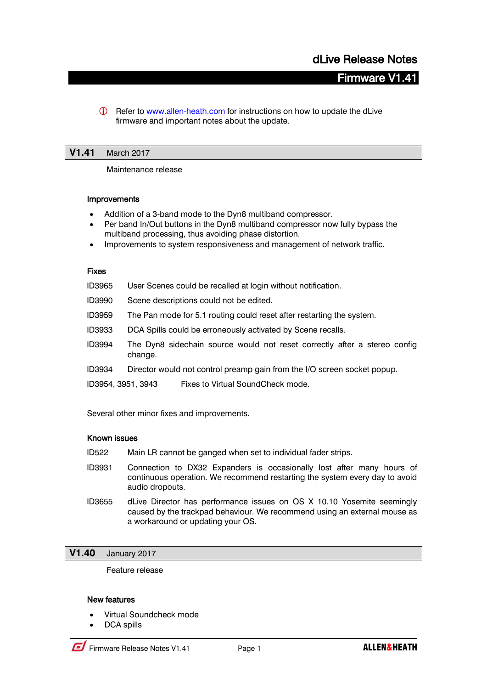# **Firmware V1**

G Refer to [www.allen-heath.com](http://www.allen-heath.com/) for instructions on how to update the dLive firmware and important notes about the update.

## **V1.41** March 2017

Maintenance release

#### Improvements

- Addition of a 3-band mode to the Dyn8 multiband compressor.
- Per band In/Out buttons in the Dyn8 multiband compressor now fully bypass the multiband processing, thus avoiding phase distortion.
- Improvements to system responsiveness and management of network traffic.

#### Fixes

| ID3965             | User Scenes could be recalled at login without notification.                         |
|--------------------|--------------------------------------------------------------------------------------|
| ID3990             | Scene descriptions could not be edited.                                              |
| ID3959             | The Pan mode for 5.1 routing could reset after restarting the system.                |
| ID3933             | DCA Spills could be erroneously activated by Scene recalls.                          |
| ID3994             | The Dyn8 sidechain source would not reset correctly after a stereo config<br>change. |
| ID3934             | Director would not control preamp gain from the I/O screen socket popup.             |
| ID3954, 3951, 3943 | Fixes to Virtual SoundCheck mode.                                                    |
|                    |                                                                                      |

Several other minor fixes and improvements.

## Known issues

- ID522 Main LR cannot be ganged when set to individual fader strips.
- ID3931 Connection to DX32 Expanders is occasionally lost after many hours of continuous operation. We recommend restarting the system every day to avoid audio dropouts.
- ID3655 dLive Director has performance issues on OS X 10.10 Yosemite seemingly caused by the trackpad behaviour. We recommend using an external mouse as a workaround or updating your OS.

## **V1.40** January 2017

Feature release

#### New features

- Virtual Soundcheck mode
- DCA spills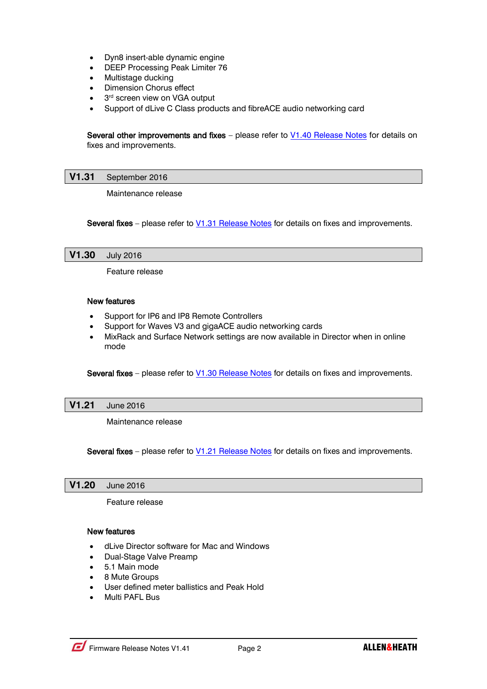- Dyn8 insert-able dynamic engine
- DEEP Processing Peak Limiter 76
- Multistage ducking
- Dimension Chorus effect
- 3<sup>rd</sup> screen view on VGA output
- Support of dLive C Class products and fibreACE audio networking card

Several other improvements and fixes – please refer to V1.40 [Release Notes](http://www.allen-heath.com/media/dLive-Release-Notes-V1.40.pdf) for details on fixes and improvements.

## **V1.31** September 2016

Maintenance release

Several fixes – please refer to V1.31 [Release Notes](http://www.allen-heath.com/media/dLive-Release-Notes-V1.31.pdf) for details on fixes and improvements.

## **V1.30** July 2016

Feature release

## New features

- Support for IP6 and IP8 Remote Controllers
- Support for Waves V3 and gigaACE audio networking cards
- MixRack and Surface Network settings are now available in Director when in online mode

Several fixes – please refer to V1.30 [Release Notes](http://www.allen-heath.com/media/dLive-Release-Notes-V1.30.pdf) for details on fixes and improvements.

#### **V1.21** June 2016

Maintenance release

Several fixes – please refer to  $V1.21$  [Release Notes](http://www.allen-heath.com/media/dLive-Release-Notes-V1.21.pdf)</u> for details on fixes and improvements.

#### **V1.20** June 2016

Feature release

#### New features

- dLive Director software for Mac and Windows
- Dual-Stage Valve Preamp
- 5.1 Main mode
- 8 Mute Groups
- User defined meter ballistics and Peak Hold
- Multi PAFL Bus